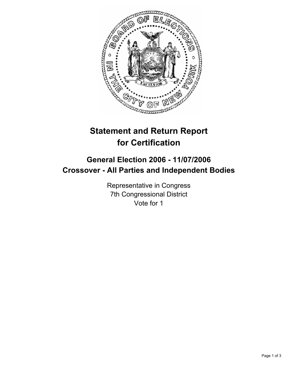

# **Statement and Return Report for Certification**

# **General Election 2006 - 11/07/2006 Crossover - All Parties and Independent Bodies**

Representative in Congress 7th Congressional District Vote for 1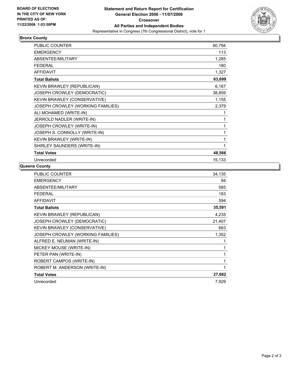

## **Bronx County**

| <b>PUBLIC COUNTER</b>             | 60,794 |
|-----------------------------------|--------|
| <b>EMERGENCY</b>                  | 113    |
| ABSENTEE/MILITARY                 | 1,285  |
| <b>FEDERAL</b>                    | 180    |
| <b>AFFIDAVIT</b>                  | 1,327  |
| <b>Total Ballots</b>              | 63,699 |
| KEVIN BRAWLEY (REPUBLICAN)        | 6,167  |
| JOSEPH CROWLEY (DEMOCRATIC)       | 38,859 |
| KEVIN BRAWLEY (CONSERVATIVE)      | 1,155  |
| JOSEPH CROWLEY (WORKING FAMILIES) | 2,379  |
| ALI MOHAMED (WRITE-IN)            |        |
| JERROLD NADLER (WRITE-IN)         |        |
| JOSEPH CROWLEY (WRITE-IN)         |        |
| JOSEPH S. CONNOLLY (WRITE-IN)     |        |
| KEVIN BRAWLEY (WRITE-IN)          |        |
| SHIRLEY SAUNDERS (WRITE-IN)       |        |
| <b>Total Votes</b>                | 48,566 |
| Unrecorded                        | 15,133 |

### **Queens County**

| <b>PUBLIC COUNTER</b><br>34,135            |
|--------------------------------------------|
| <b>EMERGENCY</b><br>94                     |
| ABSENTEE/MILITARY<br>585                   |
| <b>FEDERAL</b><br>183                      |
| <b>AFFIDAVIT</b><br>594                    |
| 35,591<br><b>Total Ballots</b>             |
| KEVIN BRAWLEY (REPUBLICAN)<br>4,235        |
| JOSEPH CROWLEY (DEMOCRATIC)<br>21,407      |
| KEVIN BRAWLEY (CONSERVATIVE)<br>663        |
| JOSEPH CROWLEY (WORKING FAMILIES)<br>1,352 |
| ALFRED E. NEUMAN (WRITE-IN)                |
| MICKEY MOUSE (WRITE-IN)                    |
| PETER PAN (WRITE-IN)                       |
| ROBERT CAMPOS (WRITE-IN)                   |
| ROBERT M. ANDERSON (WRITE-IN)              |
| 27,662<br><b>Total Votes</b>               |
| Unrecorded<br>7,929                        |